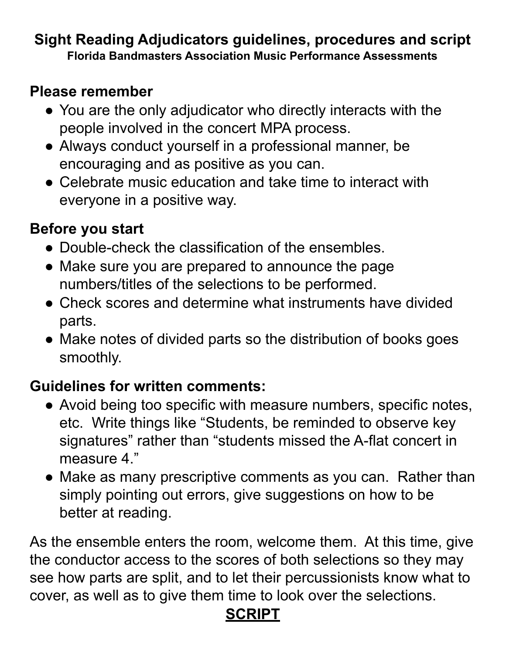## **Sight Reading Adjudicators guidelines, procedures and script Florida Bandmasters Association Music Performance Assessments**

## **Please remember**

- **●** You are the only adjudicator who directly interacts with the people involved in the concert MPA process.
- Always conduct yourself in a professional manner, be encouraging and as positive as you can.
- Celebrate music education and take time to interact with everyone in a positive way.

## **Before you start**

- Double-check the classification of the ensembles.
- Make sure you are prepared to announce the page numbers/titles of the selections to be performed.
- Check scores and determine what instruments have divided parts.
- Make notes of divided parts so the distribution of books goes smoothly.

# **Guidelines for written comments:**

- Avoid being too specific with measure numbers, specific notes, etc. Write things like "Students, be reminded to observe key signatures" rather than "students missed the A-flat concert in measure 4."
- Make as many prescriptive comments as you can. Rather than simply pointing out errors, give suggestions on how to be better at reading.

As the ensemble enters the room, welcome them. At this time, give the conductor access to the scores of both selections so they may see how parts are split, and to let their percussionists know what to cover, as well as to give them time to look over the selections.

# **SCRIPT**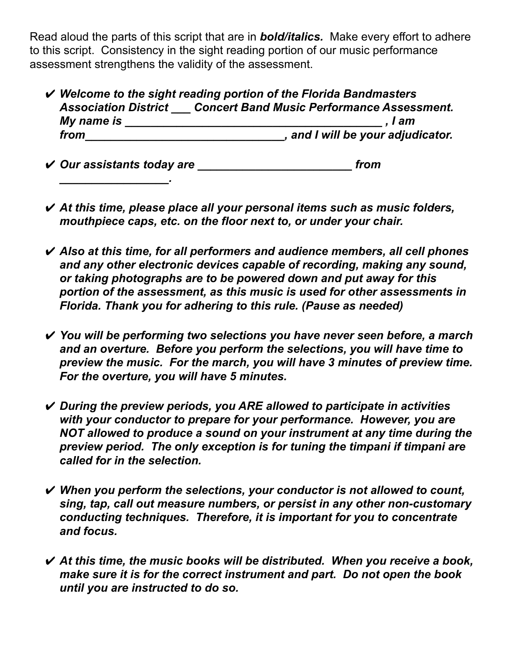Read aloud the parts of this script that are in *bold/italics.* Make every effort to adhere to this script. Consistency in the sight reading portion of our music performance assessment strengthens the validity of the assessment.

✔ *Welcome to the sight reading portion of the Florida Bandmasters Association District \_\_\_ Concert Band Music Performance Assessment. My name is \_\_\_\_\_\_\_\_\_\_\_\_\_\_\_\_\_\_\_\_\_\_\_\_\_\_\_\_\_\_\_\_\_\_\_\_\_\_\_\_ , I am from\_\_\_\_\_\_\_\_\_\_\_\_\_\_\_\_\_\_\_\_\_\_\_\_\_\_\_\_\_\_\_, and I will be your adjudicator.*

✔ *Our assistants today are \_\_\_\_\_\_\_\_\_\_\_\_\_\_\_\_\_\_\_\_\_\_\_\_ from \_\_\_\_\_\_\_\_\_\_\_\_\_\_\_\_\_.*

- ✔ *At this time, please place all your personal items such as music folders, mouthpiece caps, etc. on the floor next to, or under your chair.*
- ✔ *Also at this time, for all performers and audience members, all cell phones and any other electronic devices capable of recording, making any sound, or taking photographs are to be powered down and put away for this portion of the assessment, as this music is used for other assessments in Florida. Thank you for adhering to this rule. (Pause as needed)*
- ✔ *You will be performing two selections you have never seen before, a march and an overture. Before you perform the selections, you will have time to preview the music. For the march, you will have 3 minutes of preview time. For the overture, you will have 5 minutes.*
- ✔ *During the preview periods, you ARE allowed to participate in activities with your conductor to prepare for your performance. However, you are NOT allowed to produce a sound on your instrument at any time during the preview period. The only exception is for tuning the timpani if timpani are called for in the selection.*
- ✔ *When you perform the selections, your conductor is not allowed to count, sing, tap, call out measure numbers, or persist in any other non-customary conducting techniques. Therefore, it is important for you to concentrate and focus.*
- ✔ *At this time, the music books will be distributed. When you receive a book, make sure it is for the correct instrument and part. Do not open the book until you are instructed to do so.*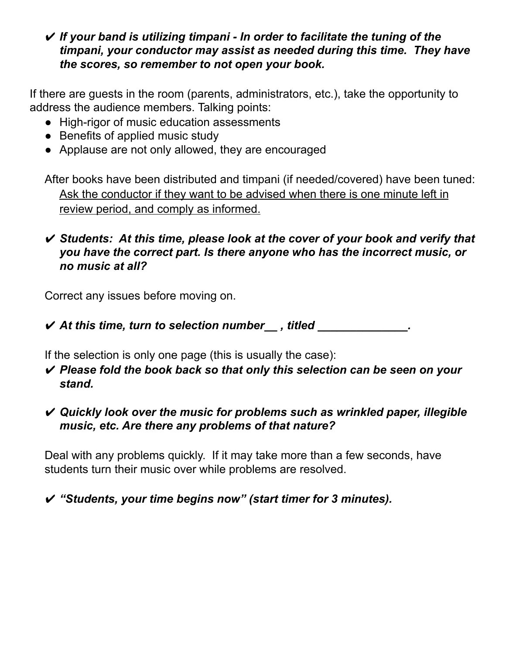#### ✔ *If your band is utilizing timpani - In order to facilitate the tuning of the timpani, your conductor may assist as needed during this time. They have the scores, so remember to not open your book.*

If there are guests in the room (parents, administrators, etc.), take the opportunity to address the audience members. Talking points:

- High-rigor of music education assessments
- Benefits of applied music study
- Applause are not only allowed, they are encouraged

After books have been distributed and timpani (if needed/covered) have been tuned: Ask the conductor if they want to be advised when there is one minute left in review period, and comply as informed.

### ✔ *Students: At this time, please look at the cover of your book and verify that you have the correct part. Is there anyone who has the incorrect music, or no music at all?*

Correct any issues before moving on.

✔ *At this time, turn to selection number\_\_ , titled \_\_\_\_\_\_\_\_\_\_\_\_\_\_.*

If the selection is only one page (this is usually the case):

✔ *Please fold the book back so that only this selection can be seen on your stand.*

### ✔ *Quickly look over the music for problems such as wrinkled paper, illegible music, etc. Are there any problems of that nature?*

Deal with any problems quickly. If it may take more than a few seconds, have students turn their music over while problems are resolved.

## ✔ *"Students, your time begins now" (start timer for 3 minutes).*